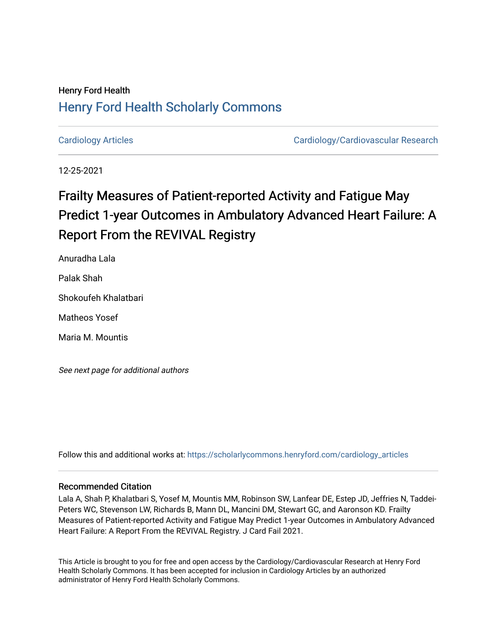## Henry Ford Health [Henry Ford Health Scholarly Commons](https://scholarlycommons.henryford.com/)

[Cardiology Articles](https://scholarlycommons.henryford.com/cardiology_articles) [Cardiology/Cardiovascular Research](https://scholarlycommons.henryford.com/cardiology) 

12-25-2021

# Frailty Measures of Patient-reported Activity and Fatigue May Predict 1-year Outcomes in Ambulatory Advanced Heart Failure: A Report From the REVIVAL Registry

Anuradha Lala

Palak Shah

Shokoufeh Khalatbari

Matheos Yosef

Maria M. Mountis

See next page for additional authors

Follow this and additional works at: [https://scholarlycommons.henryford.com/cardiology\\_articles](https://scholarlycommons.henryford.com/cardiology_articles?utm_source=scholarlycommons.henryford.com%2Fcardiology_articles%2F862&utm_medium=PDF&utm_campaign=PDFCoverPages)

## Recommended Citation

Lala A, Shah P, Khalatbari S, Yosef M, Mountis MM, Robinson SW, Lanfear DE, Estep JD, Jeffries N, Taddei-Peters WC, Stevenson LW, Richards B, Mann DL, Mancini DM, Stewart GC, and Aaronson KD. Frailty Measures of Patient-reported Activity and Fatigue May Predict 1-year Outcomes in Ambulatory Advanced Heart Failure: A Report From the REVIVAL Registry. J Card Fail 2021.

This Article is brought to you for free and open access by the Cardiology/Cardiovascular Research at Henry Ford Health Scholarly Commons. It has been accepted for inclusion in Cardiology Articles by an authorized administrator of Henry Ford Health Scholarly Commons.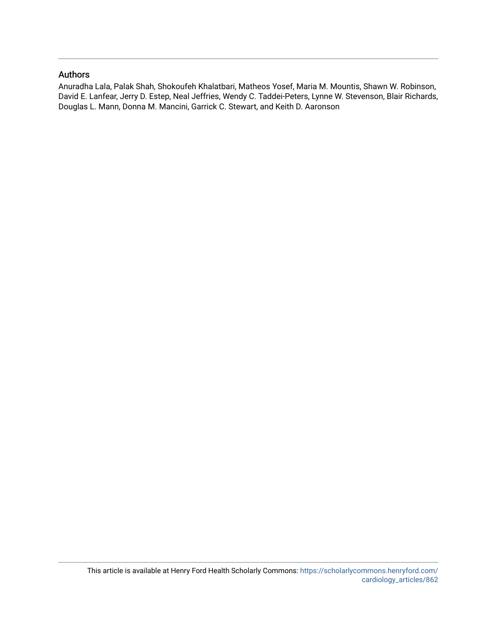## Authors

Anuradha Lala, Palak Shah, Shokoufeh Khalatbari, Matheos Yosef, Maria M. Mountis, Shawn W. Robinson, David E. Lanfear, Jerry D. Estep, Neal Jeffries, Wendy C. Taddei-Peters, Lynne W. Stevenson, Blair Richards, Douglas L. Mann, Donna M. Mancini, Garrick C. Stewart, and Keith D. Aaronson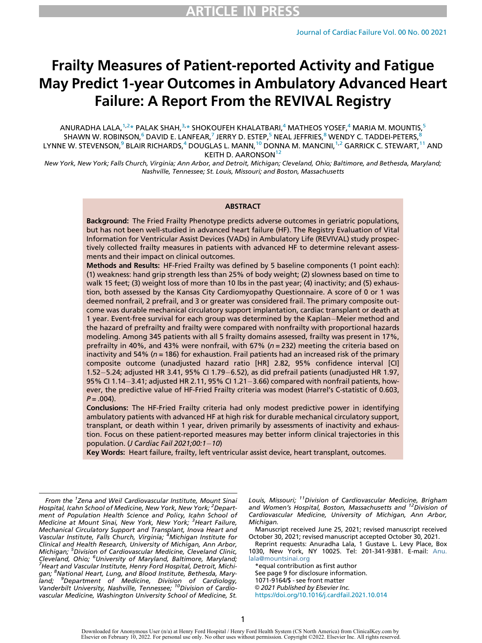# Frailty Measures of Patient-reported Activity and Fatigue May Predict 1-year Outcomes in Ambulatory Advanced Heart Failure: A Report From the REVIVAL Registry

ANURADHA LALA, $^{1,2\, \star}$  $^{1,2\, \star}$  $^{1,2\, \star}$  $^{1,2\, \star}$  PALAK SHAH, $^{3,\star}$  $^{3,\star}$  $^{3,\star}$  SHOKOUFEH KHALATBARI, $^{4}$  $^{4}$  $^{4}$  MATHEOS YOSEF, $^{4}$  MARIA M. MOUNTIS, $^{5}$  $^{5}$  $^{5}$ SHAWN W. ROBINSON,<sup>[6](#page-2-6)</sup> DAVID E. LANFEAR,<sup>[7](#page-2-6)</sup> JERRY D. ESTEP,<sup>[5](#page-2-5)</sup> NEAL JEFFRIES,<sup>[8](#page-2-7)</sup> WENDY C. TADDEI-PETERS,<sup>8</sup> LYNNE W. STEVENSON,<sup>[9](#page-2-8)</sup> BLAIR RICHARDS,<sup>[4](#page-2-4)</sup> DOUGLAS L. MANN,<sup>[10](#page-2-9)</sup> DONNA M. MANCINI,<sup>[1,](#page-2-0)[2](#page-2-1)</sup> GARRICK C. STEWART,<sup>[11](#page-2-10)</sup> AND

KEITH D. AARONSON<sup>[12](#page-2-11)</sup>

New York, New York; Falls Church, Virginia; Ann Arbor, and Detroit, Michigan; Cleveland, Ohio; Baltimore, and Bethesda, Maryland; Nashville, Tennessee; St. Louis, Missouri; and Boston, Massachusetts

#### **ABSTRACT**

Background: The Fried Frailty Phenotype predicts adverse outcomes in geriatric populations, but has not been well-studied in advanced heart failure (HF). The Registry Evaluation of Vital Information for Ventricular Assist Devices (VADs) in Ambulatory Life (REVIVAL) study prospectively collected frailty measures in patients with advanced HF to determine relevant assessments and their impact on clinical outcomes.

Methods and Results: HF-Fried Frailty was defined by 5 baseline components (1 point each): (1) weakness: hand grip strength less than 25% of body weight; (2) slowness based on time to walk 15 feet; (3) weight loss of more than 10 lbs in the past year; (4) inactivity; and (5) exhaustion, both assessed by the Kansas City Cardiomyopathy Questionnaire. A score of 0 or 1 was deemed nonfrail, 2 prefrail, and 3 or greater was considered frail. The primary composite outcome was durable mechanical circulatory support implantation, cardiac transplant or death at 1 year. Event-free survival for each group was determined by the Kaplan–Meier method and the hazard of prefrailty and frailty were compared with nonfrailty with proportional hazards modeling. Among 345 patients with all 5 frailty domains assessed, frailty was present in 17%, prefrailty in 40%, and 43% were nonfrail, with 67% ( $n = 232$ ) meeting the criteria based on inactivity and 54% ( $n = 186$ ) for exhaustion. Frail patients had an increased risk of the primary composite outcome (unadjusted hazard ratio [HR] 2.82, 95% confidence interval [CI] 1.52 $-$ 5.24; adjusted HR 3.41, 95% CI 1.79 $-$ 6.52), as did prefrail patients (unadjusted HR 1.97, 95% CI 1.14-3.41; adjusted HR 2.11, 95% CI 1.21-3.66) compared with nonfrail patients, however, the predictive value of HF-Fried Frailty criteria was modest (Harrel's C-statistic of 0.603,  $P = .004$ ).

Conclusions: The HF-Fried Frailty criteria had only modest predictive power in identifying ambulatory patients with advanced HF at high risk for durable mechanical circulatory support, transplant, or death within 1 year, driven primarily by assessments of inactivity and exhaustion. Focus on these patient-reported measures may better inform clinical trajectories in this population. (J Cardiac Fail  $2021;00:1-10$ )

Key Words: Heart failure, frailty, left ventricular assist device, heart transplant, outcomes.

Louis, Missouri; <sup>11</sup>Division of Cardiovascular Medicine, Brigham and Women's Hospital, Boston, Massachusetts and <sup>12</sup>Division of Cardiovascular Medicine, University of Michigan, Ann Arbor, Michigan.

Manuscript received June 25, 2021; revised manuscript received October 30, 2021; revised manuscript accepted October 30, 2021.

Reprint requests: Anuradha Lala, 1 Gustave L. Levy Place, Box 1030, New York, NY 10025. Tel: 201-341-9381. E-mail: [Anu.](mailto:Anu.lala@mountsinai.org) [lala@mountsinai.org](mailto:Anu.lala@mountsinai.org)

\*equal contribution as first author See page 9 for disclosure information. 1071-9164/\$ - see front matter © 2021 Published by Elsevier Inc. <https://doi.org/10.1016/j.cardfail.2021.10.014>

<span id="page-2-11"></span><span id="page-2-10"></span><span id="page-2-9"></span><span id="page-2-8"></span><span id="page-2-7"></span><span id="page-2-6"></span><span id="page-2-5"></span><span id="page-2-4"></span><span id="page-2-3"></span><span id="page-2-2"></span><span id="page-2-1"></span><span id="page-2-0"></span>From the <sup>1</sup>Zena and Weil Cardiovascular Institute, Mount Sinai Hospital, Icahn School of Medicine, New York, New York; <sup>2</sup>Department of Population Health Science and Policy, Icahn School of Medicine at Mount Sinai, New York, New York; <sup>3</sup>Heart Failure, Mechanical Circulatory Support and Transplant, Inova Heart and Vascular Institute, Falls Church, Virginia; <sup>4</sup>Michigan Institute for Clinical and Health Research, University of Michigan, Ann Arbor, Michigan; <sup>5</sup>Division of Cardiovascular Medicine, Cleveland Clinic, Cleveland, Ohio; <sup>6</sup>University of Maryland, Baltimore, Maryland;<br><sup>7</sup>Heart and Vascular Institute, Henry Ford Hospital, Detroit, Michi- $^7$ Heart and Vascular Institute, Henry Ford Hospital, Detroit, Michigan; <sup>8</sup>National Heart, Lung, and Blood Institute, Bethesda, Mary-<br>land; <sup>9</sup>Department of Medicine, Division of Cardiology, Vanderbilt University, Nashville, Tennessee; <sup>10</sup>Division of Cardiovascular Medicine, Washington University School of Medicine, St.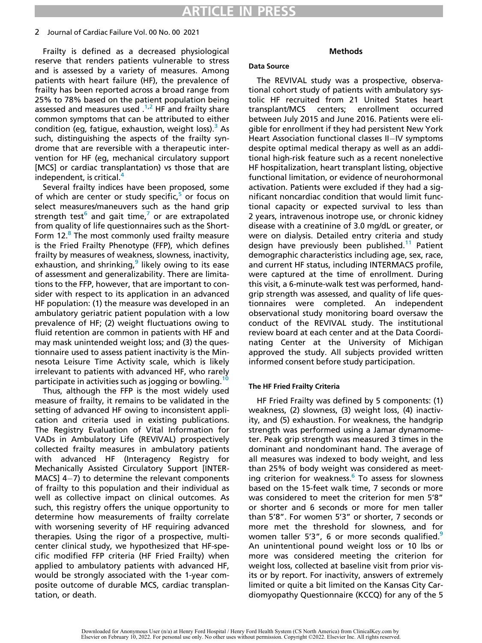#### 2 Journal of Cardiac Failure Vol. 00 No. 00 2021

Frailty is defined as a decreased physiological reserve that renders patients vulnerable to stress and is assessed by a variety of measures. Among patients with heart failure (HF), the prevalence of frailty has been reported across a broad range from 25% to 78% based on the patient population being assessed and measures used  $1^{1,2}$  $1^{1,2}$  $1^{1,2}$  $1^{1,2}$  HF and frailty share common symptoms that can be attributed to either condition (eg, fatigue, exhaustion, weight loss). $3$  As such, distinguishing the aspects of the frailty syndrome that are reversible with a therapeutic intervention for HF (eg, mechanical circulatory support [MCS] or cardiac transplantation) vs those that are independent, is critical.<sup>[4](#page-10-3)</sup>

Several frailty indices have been proposed, some of which are center or study specific, $5$  or focus on select measures/maneuvers such as the hand grip strength test<sup>[6](#page-10-5)</sup> and gait time, $\prime$  or are extrapolated from quality of life questionnaires such as the Short-Form 12.<sup>[8](#page-10-7)</sup> The most commonly used frailty measure is the Fried Frailty Phenotype (FFP), which defines frailty by measures of weakness, slowness, inactivity, exhaustion, and shrinking, likely owing to its ease of assessment and generalizability. There are limitations to the FFP, however, that are important to consider with respect to its application in an advanced HF population: (1) the measure was developed in an ambulatory geriatric patient population with a low prevalence of HF; (2) weight fluctuations owing to fluid retention are common in patients with HF and may mask unintended weight loss; and (3) the questionnaire used to assess patient inactivity is the Minnesota Leisure Time Activity scale, which is likely irrelevant to patients with advanced HF, who rarely participate in activities such as jogging or bowling.<sup>[10](#page-10-9)</sup>

Thus, although the FFP is the most widely used measure of frailty, it remains to be validated in the setting of advanced HF owing to inconsistent application and criteria used in existing publications. The Registry Evaluation of Vital Information for VADs in Ambulatory Life (REVIVAL) prospectively collected frailty measures in ambulatory patients with advanced HF (Interagency Registry for Mechanically Assisted Circulatory Support [INTER- $MACS$ ] 4-7) to determine the relevant components of frailty to this population and their individual as well as collective impact on clinical outcomes. As such, this registry offers the unique opportunity to determine how measurements of frailty correlate with worsening severity of HF requiring advanced therapies. Using the rigor of a prospective, multicenter clinical study, we hypothesized that HF-specific modified FFP criteria (HF Fried Frailty) when applied to ambulatory patients with advanced HF, would be strongly associated with the 1-year composite outcome of durable MCS, cardiac transplantation, or death.

### Methods

#### Data Source

The REVIVAL study was a prospective, observational cohort study of patients with ambulatory systolic HF recruited from 21 United States heart transplant/MCS centers; enrollment occurred between July 2015 and June 2016. Patients were eligible for enrollment if they had persistent New York Heart Association functional classes  $II$ -IV symptoms despite optimal medical therapy as well as an additional high-risk feature such as a recent nonelective HF hospitalization, heart transplant listing, objective functional limitation, or evidence of neurohormonal activation. Patients were excluded if they had a significant noncardiac condition that would limit functional capacity or expected survival to less than 2 years, intravenous inotrope use, or chronic kidney disease with a creatinine of 3.0 mg/dL or greater, or were on dialysis. Detailed entry criteria and study design have previously been published.<sup>[11](#page-10-10)</sup> Patient demographic characteristics including age, sex, race, and current HF status, including INTERMACS profile, were captured at the time of enrollment. During this visit, a 6-minute-walk test was performed, handgrip strength was assessed, and quality of life questionnaires were completed. An independent observational study monitoring board oversaw the conduct of the REVIVAL study. The institutional review board at each center and at the Data Coordinating Center at the University of Michigan approved the study. All subjects provided written informed consent before study participation.

## The HF Fried Frailty Criteria

HF Fried Frailty was defined by 5 components: (1) weakness, (2) slowness, (3) weight loss, (4) inactivity, and (5) exhaustion. For weakness, the handgrip strength was performed using a Jamar dynamometer. Peak grip strength was measured 3 times in the dominant and nondominant hand. The average of all measures was indexed to body weight, and less than 25% of body weight was considered as meeting criterion for weakness.<sup>6</sup> To assess for slowness based on the 15-feet walk time, 7 seconds or more was considered to meet the criterion for men 5'8" or shorter and 6 seconds or more for men taller than 5'8". For women 5'3" or shorter, 7 seconds or more met the threshold for slowness, and for women taller 5'3", 6 or more seconds qualified.<sup>[9](#page-10-8)</sup> An unintentional pound weight loss or 10 lbs or more was considered meeting the criterion for weight loss, collected at baseline visit from prior visits or by report. For inactivity, answers of extremely limited or quite a bit limited on the Kansas City Cardiomyopathy Questionnaire (KCCQ) for any of the 5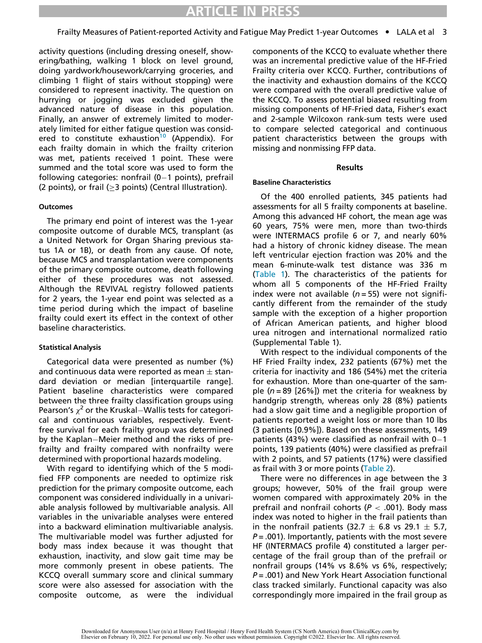activity questions (including dressing oneself, showering/bathing, walking 1 block on level ground, doing yardwork/housework/carrying groceries, and climbing 1 flight of stairs without stopping) were considered to represent inactivity. The question on hurrying or jogging was excluded given the advanced nature of disease in this population. Finally, an answer of extremely limited to moderately limited for either fatigue question was considered to constitute exhaustion<sup>10</sup> (Appendix). For each frailty domain in which the frailty criterion was met, patients received 1 point. These were summed and the total score was used to form the following categories: nonfrail  $(0-1$  points), prefrail (2 points), or frail ( $\geq$ 3 points) (Central Illustration).

#### Outcomes

The primary end point of interest was the 1-year composite outcome of durable MCS, transplant (as a United Network for Organ Sharing previous status 1A or 1B), or death from any cause. Of note, because MCS and transplantation were components of the primary composite outcome, death following either of these procedures was not assessed. Although the REVIVAL registry followed patients for 2 years, the 1-year end point was selected as a time period during which the impact of baseline frailty could exert its effect in the context of other baseline characteristics.

## Statistical Analysis

Categorical data were presented as number (%) and continuous data were reported as mean  $\pm$  standard deviation or median [interquartile range]. Patient baseline characteristics were compared between the three frailty classification groups using Pearson's  $\chi^2$  or the Kruskal–Wallis tests for categorical and continuous variables, respectively. Eventfree survival for each frailty group was determined by the Kaplan–Meier method and the risks of prefrailty and frailty compared with nonfrailty were determined with proportional hazards modeling.

With regard to identifying which of the 5 modified FFP components are needed to optimize risk prediction for the primary composite outcome, each component was considered individually in a univariable analysis followed by multivariable analysis. All variables in the univariable analyses were entered into a backward elimination multivariable analysis. The multivariable model was further adjusted for body mass index because it was thought that exhaustion, inactivity, and slow gait time may be more commonly present in obese patients. The KCCQ overall summary score and clinical summary score were also assessed for association with the composite outcome, as were the individual components of the KCCQ to evaluate whether there was an incremental predictive value of the HF-Fried Frailty criteria over KCCQ. Further, contributions of the inactivity and exhaustion domains of the KCCQ were compared with the overall predictive value of the KCCQ. To assess potential biased resulting from missing components of HF-Fried data, Fisher's exact and 2-sample Wilcoxon rank-sum tests were used to compare selected categorical and continuous patient characteristics between the groups with missing and nonmissing FFP data.

#### Results

#### Baseline Characteristics

Of the 400 enrolled patients, 345 patients had assessments for all 5 frailty components at baseline. Among this advanced HF cohort, the mean age was 60 years, 75% were men, more than two-thirds were INTERMACS profile 6 or 7, and nearly 60% had a history of chronic kidney disease. The mean left ventricular ejection fraction was 20% and the mean 6-minute-walk test distance was 336 m [\(Table 1](#page-5-0)). The characteristics of the patients for whom all 5 components of the HF-Fried Frailty index were not available ( $n = 55$ ) were not significantly different from the remainder of the study sample with the exception of a higher proportion of African American patients, and higher blood urea nitrogen and international normalized ratio (Supplemental Table 1).

With respect to the individual components of the HF Fried Frailty index, 232 patients (67%) met the criteria for inactivity and 186 (54%) met the criteria for exhaustion. More than one-quarter of the sample ( $n = 89$  [26%]) met the criteria for weakness by handgrip strength, whereas only 28 (8%) patients had a slow gait time and a negligible proportion of patients reported a weight loss or more than 10 lbs (3 patients [0.9%]). Based on these assessments, 149 patients (43%) were classified as nonfrail with  $0-1$ points, 139 patients (40%) were classified as prefrail with 2 points, and 57 patients (17%) were classified as frail with 3 or more points ([Table 2\)](#page-5-1).

There were no differences in age between the 3 groups; however, 50% of the frail group were women compared with approximately 20% in the prefrail and nonfrail cohorts ( $P < .001$ ). Body mass index was noted to higher in the frail patients than in the nonfrail patients (32.7  $\pm$  6.8 vs 29.1  $\pm$  5.7,  $P = .001$ ). Importantly, patients with the most severe HF (INTERMACS profile 4) constituted a larger percentage of the frail group than of the prefrail or nonfrail groups (14% vs 8.6% vs 6%, respectively;  $P = .001$ ) and New York Heart Association functional class tracked similarly. Functional capacity was also correspondingly more impaired in the frail group as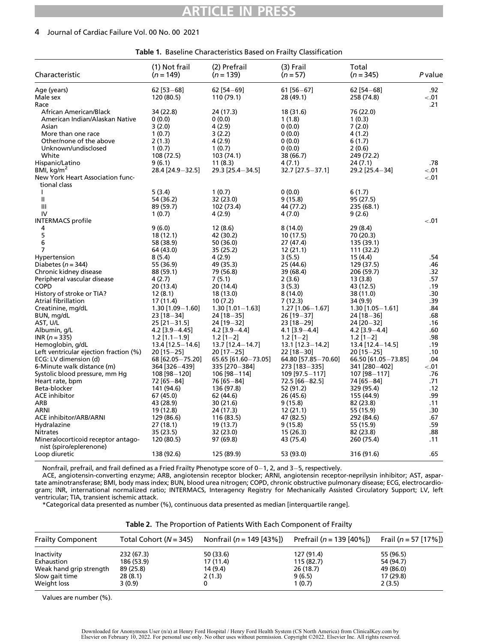## ARTICLE IN PRESS

#### 4 Journal of Cardiac Failure Vol. 00 No. 00 2021

<span id="page-5-0"></span>

| Characteristic                                                | (1) Not frail<br>$(n = 149)$ | (2) Prefrail<br>$(n = 139)$ | (3) Frail<br>$(n = 57)$ | Total<br>$(n = 345)$   | P value |
|---------------------------------------------------------------|------------------------------|-----------------------------|-------------------------|------------------------|---------|
| Age (years)                                                   | $62$ [53-68]                 | $62$ [54-69]                | $61$ [56-67]            | $62$ [54-68]           | .92     |
| Male sex                                                      | 120 (80.5)                   | 110 (79.1)                  | 28 (49.1)               | 258 (74.8)             | $-.01$  |
| Race                                                          |                              |                             |                         |                        | .21     |
| African American/Black                                        | 34 (22.8)                    | 24 (17.3)                   | 18 (31.6)               | 76 (22.0)              |         |
| American Indian/Alaskan Native                                | 0(0.0)                       | 0(0.0)                      | 1(1.8)                  | 1(0.3)                 |         |
| Asian                                                         | 3(2.0)                       | 4(2.9)                      | 0(0.0)                  | 7(2.0)                 |         |
| More than one race                                            | 1(0.7)                       | 3(2.2)                      | 0(0.0)                  | 4 (1.2)                |         |
| Other/none of the above                                       | 2(1.3)                       | 4 (2.9)                     | 0(0.0)                  | 6(1.7)                 |         |
| Unknown/undisclosed                                           | 1(0.7)                       | 1(0.7)                      | 0(0.0)                  | 2(0.6)                 |         |
| White                                                         | 108 (72.5)                   | 103 (74.1)                  | 38 (66.7)               | 249 (72.2)             |         |
| Hispanic/Latino                                               | 9(6.1)                       | 11(8.3)                     | 4(7.1)                  | 24 (7.1)               | .78     |
| BMI, $kg/m2$                                                  | 28.4 [24.9-32.5]             | 29.3 [25.4 - 34.5]          | $32.7$ [27.5 - 37.1]    | 29.2 [25.4-34]         | $-.01$  |
| New York Heart Association func-                              |                              |                             |                         |                        | $-.01$  |
| tional class                                                  |                              |                             |                         |                        |         |
| $\mathbf{I}$                                                  | 5(3.4)                       | 1(0.7)                      | 0(0.0)                  | 6(1.7)                 |         |
| $\mathbf l$                                                   | 54 (36.2)                    | 32 (23.0)                   | 9(15.8)                 | 95 (27.5)              |         |
| Ш                                                             | 89 (59.7)                    | 102 (73.4)                  | 44 (77.2)               | 235 (68.1)             |         |
| IV                                                            | 1(0.7)                       | 4 (2.9)                     | 4(7.0)                  | 9(2.6)                 |         |
| <b>INTERMACS</b> profile                                      |                              |                             |                         |                        | $-.01$  |
| 4                                                             | 9(6.0)                       | 12(8.6)                     | 8(14.0)                 | 29 (8.4)               |         |
| 5                                                             | 18(12.1)                     | 42 (30.2)                   | 10(17.5)                | 70 (20.3)              |         |
| 6                                                             | 58 (38.9)                    | 50 (36.0)                   | 27 (47.4)               | 135 (39.1)             |         |
| 7                                                             | 64 (43.0)                    | 35 (25.2)                   | 12(21.1)                | 111 (32.2)             |         |
| Hypertension                                                  | 8(5.4)                       | 4(2.9)                      | 3(5.5)                  | 15 (4.4)               | .54     |
| Diabetes ( $n = 344$ )                                        | 55 (36.9)                    | 49 (35.3)                   | 25 (44.6)               | 129 (37.5)             | .46     |
| Chronic kidney disease                                        | 88 (59.1)                    | 79 (56.8)                   | 39 (68.4)               | 206 (59.7)             | .32     |
| Peripheral vascular disease                                   | 4(2.7)                       | 7(5.1)                      | 2(3.6)                  | 13(3.8)                | .57     |
| <b>COPD</b>                                                   | 20 (13.4)                    | 20 (14.4)                   | 3(5.3)                  | 43 (12.5)              | .19     |
| History of stroke or TIA?                                     | 12(8.1)                      | 18 (13.0)                   | 8(14.0)                 | 38 (11.0)              | .30     |
| Atrial fibrillation                                           | 17 (11.4)                    | 10(7.2)                     | 7(12.3)                 | 34 (9.9)               | .39     |
| Creatinine, mg/dL                                             | $1.30$ [1.09 $-1.60$ ]       | $1.30$ [1.01 - 1.63]        | $1.27$ [1.06 - 1.67]    | $1.30$ [1.05 $-1.61$ ] | .84     |
| BUN, mg/dL                                                    | $23$ [18-34]                 | $24$ [18-35]                | $26$ [19-37]            | $24$ [18-36]           | .68     |
| AST, U/L                                                      | $25$ [21-31.5]               | 24 [19-32]                  | $23$ [18-29]            | 24 [20 - 32]           | .16     |
| Albumin, g/L                                                  | $4.2$ [3.9 - 4.45]           | $4.2$ [3.9 - 4.4]           | $4.1$ [3.9-4.4]         | $4.2$ [3.9 - 4.4]      | .60     |
| $INR (n = 335)$                                               | $1.2$ [1.1-1.9]              | $1.2$ [1-2]                 | $1.2$ [1-2]             | $1.2$ [1-2]            | .98     |
| Hemoglobin, g/dL                                              | $13.4$ [12.5 - 14.6]         | 13.7 [12.4 - 14.7]          | $13.1$ [12.3 - 14.2]    | $13.4$ [12.4 - 14.5]   | .19     |
| Left ventricular ejection fraction (%)                        | $20$ [15-25]                 | $20$ [17-25]                | $22$ [18-30]            | $20$ [15-25]           | .10     |
| ECG: LV dimension (d)                                         | 68 [62.05 - 75.20]           | 65.65 [61.60-73.05]         | 64.80 [57.85 - 70.60]   | 66.50 [61.05-73.85]    | .04     |
| 6-Minute walk distance (m)                                    | 364 [326-439]                | 335 [270-384]               | 273 [183-335]           | 341 [280-402]          | $-.01$  |
| Systolic blood pressure, mm Hq                                | 108 [98-120]                 | $106$ [98-114]              | 109 [97.5 - 117]        | 107 [98-117]           | .76     |
| Heart rate, bpm                                               | 72 [65-84]                   | 76 [65-84]                  | 72.5 [66-82.5]          | 74 [65-84]             | .71     |
| Beta-blocker                                                  | 141 (94.6)                   | 136 (97.8)                  | 52 (91.2)               | 329 (95.4)             | .12     |
| <b>ACE</b> inhibitor                                          | 67 (45.0)                    | 62 (44.6)                   | 26 (45.6)               | 155 (44.9)             | .99     |
| ARB                                                           | 43 (28.9)                    | 30 (21.6)                   | 9(15.8)                 | 82 (23.8)              | .11     |
| ARNI                                                          | 19 (12.8)                    | 24 (17.3)                   | 12(21.1)                | 55 (15.9)              | .30     |
| ACE inhibitor/ARB/ARNI                                        | 129 (86.6)                   | 116 (83.5)                  | 47 (82.5)               | 292 (84.6)             | .67     |
| Hydralazine                                                   | 27 (18.1)                    | 19 (13.7)                   | 9(15.8)                 | 55 (15.9)              | .59     |
| <b>Nitrates</b>                                               | 35 (23.5)                    | 32 (23.0)                   | 15 (26.3)               | 82 (23.8)              | .88     |
| Mineralocorticoid receptor antago-<br>nist (spiro/eplerenone) | 120 (80.5)                   | 97 (69.8)                   | 43 (75.4)               | 260 (75.4)             | .11     |
| Loop diuretic                                                 | 138 (92.6)                   | 125 (89.9)                  | 53 (93.0)               | 316 (91.6)             | .65     |

Table 1. Baseline Characteristics Based on Frailty Classification

Nonfrail, prefrail, and frail defined as a Fried Frailty Phenotype score of  $0-1$ , 2, and 3-5, respectively.

ACE, angiotensin-converting enzyme; ARB, angiotensin receptor blocker; ARNI, angiotensin receptor-neprilysin inhibitor; AST, aspartate aminotransferase; BMI, body mass index; BUN, blood urea nitrogen; COPD, chronic obstructive pulmonary disease; ECG, electrocardiogram; INR, international normalized ratio; INTERMACS, Interagency Registry for Mechanically Assisted Circulatory Support; LV, left ventricular; TIA, transient ischemic attack.

\*Categorical data presented as number (%), continuous data presented as median [interquartile range].

| Table 2. The Proportion of Patients With Each Component of Frailty |  |  |
|--------------------------------------------------------------------|--|--|
|--------------------------------------------------------------------|--|--|

<span id="page-5-1"></span>

| <b>Frailty Component</b> |            | Total Cohort ( $N = 345$ ) Nonfrail ( $n = 149$ [43%]) | Prefrail ( $n = 139$ [40%]) | Frail ( $n = 57$ [17%]) |
|--------------------------|------------|--------------------------------------------------------|-----------------------------|-------------------------|
| Inactivity               | 232 (67.3) | 50 (33.6)                                              | 127 (91.4)                  | 55 (96.5)               |
| Exhaustion               | 186 (53.9) | 17 (11.4)                                              | 115 (82.7)                  | 54 (94.7)               |
| Weak hand grip strength  | 89 (25.8)  | 14 (9.4)                                               | 26(18.7)                    | 49 (86.0)               |
| Slow gait time           | 28 (8.1)   | 2(1.3)                                                 | 9(6.5)                      | 17 (29.8)               |
| Weight loss              | 3(0.9)     |                                                        | 1(0.7)                      | 2(3.5)                  |

Values are number (%).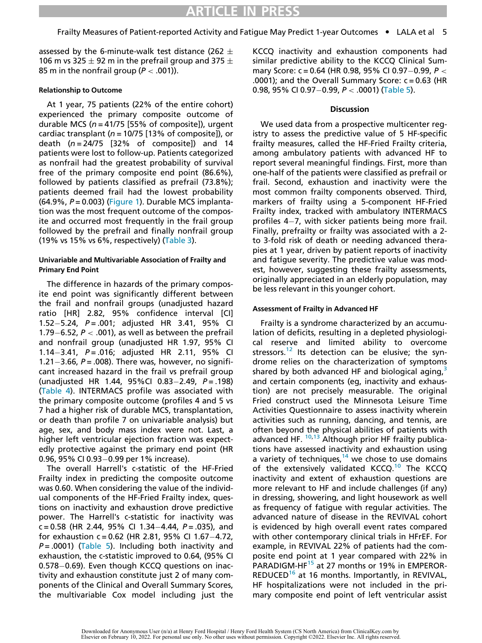assessed by the 6-minute-walk test distance (262  $\pm$ 106 m vs 325  $\pm$  92 m in the prefrail group and 375  $\pm$ 85 m in the nonfrail group ( $P < .001$ )).

### Relationship to Outcome

At 1 year, 75 patients (22% of the entire cohort) experienced the primary composite outcome of durable MCS ( $n = 41/75$  [55% of composite]), urgent cardiac transplant ( $n = 10/75$  [13% of composite]), or death ( $n = 24/75$  [32% of composite]) and 14 patients were lost to follow-up. Patients categorized as nonfrail had the greatest probability of survival free of the primary composite end point (86.6%), followed by patients classified as prefrail (73.8%); patients deemed frail had the lowest probability  $(64.9\% , P = 0.003)$  ([Figure 1](#page-7-0)). Durable MCS implantation was the most frequent outcome of the composite and occurred most frequently in the frail group followed by the prefrail and finally nonfrail group (19% vs 15% vs 6%, respectively) [\(Table 3](#page-8-0)).

#### Univariable and Multivariable Association of Frailty and Primary End Point

The difference in hazards of the primary composite end point was significantly different between the frail and nonfrail groups (unadjusted hazard ratio [HR] 2.82, 95% confidence interval [CI] 1.52–5.24,  $P = .001$ ; adjusted HR 3.41, 95% CI 1.79–6.52,  $P <$  .001), as well as between the prefrail and nonfrail group (unadjusted HR 1.97, 95% CI 1.14 $-3.41$ , P = .016; adjusted HR 2.11, 95% CI 1.21 $-3.66$ , P = .008). There was, however, no significant increased hazard in the frail vs prefrail group (unadjusted HR 1.44, 95%CI 0.83-2.49,  $P = .198$ ) [\(Table 4\)](#page-8-1). INTERMACS profile was associated with the primary composite outcome (profiles 4 and 5 vs 7 had a higher risk of durable MCS, transplantation, or death than profile 7 on univariable analysis) but age, sex, and body mass index were not. Last, a higher left ventricular ejection fraction was expectedly protective against the primary end point (HR 0.96, 95% CI 0.93-0.99 per 1% increase).

The overall Harrell's c-statistic of the HF-Fried Frailty index in predicting the composite outcome was 0.60. When considering the value of the individual components of the HF-Fried Frailty index, questions on inactivity and exhaustion drove predictive power. The Harrell's c-statistic for inactivity was c = 0.58 (HR 2.44, 95% CI 1.34-4.44,  $P = .035$ ), and for exhaustion c = 0.62 (HR 2.81, 95% CI 1.67-4.72,  $P = .0001$ ) ([Table 5\)](#page-8-2). Including both inactivity and exhaustion, the c-statistic improved to 0.64, (95% CI  $0.578-0.69$ ). Even though KCCQ questions on inactivity and exhaustion constitute just 2 of many components of the Clinical and Overall Summary Scores, the multivariable Cox model including just the KCCQ inactivity and exhaustion components had similar predictive ability to the KCCQ Clinical Summary Score: c = 0.64 (HR 0.98, 95% CI 0.97-0.99,  $P <$ .0001); and the Overall Summary Score: c = 0.63 (HR 0.98, 95% CI 0.97-0.99,  $P < .0001$ ) ([Table 5\)](#page-8-2).

### **Discussion**

We used data from a prospective multicenter registry to assess the predictive value of 5 HF-specific frailty measures, called the HF-Fried Frailty criteria, among ambulatory patients with advanced HF to report several meaningful findings. First, more than one-half of the patients were classified as prefrail or frail. Second, exhaustion and inactivity were the most common frailty components observed. Third, markers of frailty using a 5-component HF-Fried Frailty index, tracked with ambulatory INTERMACS profiles  $4-7$ , with sicker patients being more frail. Finally, prefrailty or frailty was associated with a 2 to 3-fold risk of death or needing advanced therapies at 1 year, driven by patient reports of inactivity and fatigue severity. The predictive value was modest, however, suggesting these frailty assessments, originally appreciated in an elderly population, may be less relevant in this younger cohort.

## Assessment of Frailty in Advanced HF

Frailty is a syndrome characterized by an accumulation of deficits, resulting in a depleted physiological reserve and limited ability to overcome stressors.<sup>12</sup> Its detection can be elusive; the syndrome relies on the characterization of symptoms shared by both advanced HF and biological aging, $3$ and certain components (eg, inactivity and exhaustion) are not precisely measurable. The original Fried construct used the Minnesota Leisure Time Activities Questionnaire to assess inactivity wherein activities such as running, dancing, and tennis, are often beyond the physical abilities of patients with advanced HF.  $10,13$  $10,13$  Although prior HF frailty publications have assessed inactivity and exhaustion using a variety of techniques, $14$  we chose to use domains of the extensively validated KCCQ.<sup>[10](#page-10-9)</sup> The KCCQ inactivity and extent of exhaustion questions are more relevant to HF and include challenges (if any) in dressing, showering, and light housework as well as frequency of fatigue with regular activities. The advanced nature of disease in the REVIVAL cohort is evidenced by high overall event rates compared with other contemporary clinical trials in HFrEF. For example, in REVIVAL 22% of patients had the composite end point at 1 year compared with 22% in PARADIGM-HF<sup>[15](#page-10-14)</sup> at 27 months or 19% in EMPEROR-REDUCED<sup>[16](#page-10-15)</sup> at 16 months. Importantly, in REVIVAL, HF hospitalizations were not included in the primary composite end point of left ventricular assist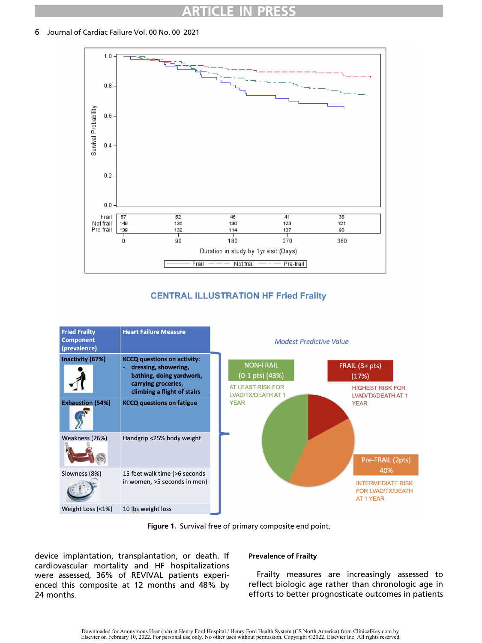## ARTICLE IN PRESS

<span id="page-7-0"></span>6 Journal of Cardiac Failure Vol. 00 No. 00 2021



## **CENTRAL ILLUSTRATION HF Fried Frailty**





device implantation, transplantation, or death. If cardiovascular mortality and HF hospitalizations were assessed, 36% of REVIVAL patients experienced this composite at 12 months and 48% by 24 months.

## Prevalence of Frailty

Frailty measures are increasingly assessed to reflect biologic age rather than chronologic age in efforts to better prognosticate outcomes in patients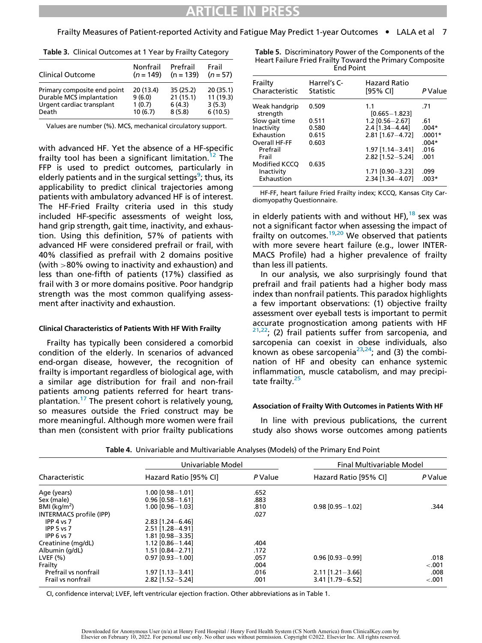Frailty Measures of Patient-reported Activity and Fatigue May Predict 1-year Outcomes • LALA et al 7

<span id="page-8-2"></span><span id="page-8-0"></span>

| <b>rable 5.</b> Chrittal Outcomes at Thear by Hallty Category |             |             |           |
|---------------------------------------------------------------|-------------|-------------|-----------|
| Clinical Outcome                                              | Nonfrail    | Prefrail    | Frail     |
|                                                               | $(n = 149)$ | $(n = 139)$ | $(n=57)$  |
| Primary composite end point                                   | 20(13.4)    | 35(25.2)    | 20(35.1)  |
| Durable MCS implantation                                      | 9(6.0)      | 21(15.1)    | 11 (19.3) |
| Urgent cardiac transplant                                     | 1(0.7)      | 6(4.3)      | 3(5.3)    |
| Death                                                         | 10(6.7)     | 8(5.8)      | 6(10.5)   |

| Table 3. Clinical Outcomes at 1 Year by Frailty Category |
|----------------------------------------------------------|
|----------------------------------------------------------|

Values are number (%). MCS, mechanical circulatory support.

with advanced HF. Yet the absence of a HF-specific frailty tool has been a significant limitation.<sup>[12](#page-10-11)</sup> The FFP is used to predict outcomes, particularly in elderly patients and in the surgical settings<sup>[9](#page-10-8)</sup>; thus, its applicability to predict clinical trajectories among patients with ambulatory advanced HF is of interest. The HF-Fried Frailty criteria used in this study included HF-specific assessments of weight loss, hand grip strength, gait time, inactivity, and exhaustion. Using this definition, 57% of patients with advanced HF were considered prefrail or frail, with 40% classified as prefrail with 2 domains positive (with >80% owing to inactivity and exhaustion) and less than one-fifth of patients (17%) classified as frail with 3 or more domains positive. Poor handgrip strength was the most common qualifying assessment after inactivity and exhaustion.

#### Clinical Characteristics of Patients With HF With Frailty

Frailty has typically been considered a comorbid condition of the elderly. In scenarios of advanced end-organ disease, however, the recognition of frailty is important regardless of biological age, with a similar age distribution for frail and non-frail patients among patients referred for heart trans-plantation.<sup>[17](#page-10-16)</sup> The present cohort is relatively young, so measures outside the Fried construct may be more meaningful. Although more women were frail than men (consistent with prior frailty publications Table 5. Discriminatory Power of the Components of the Heart Failure Fried Frailty Toward the Primary Composite End Point

| Frailty                   | Harrel's C- | Hazard Ratio             |          |
|---------------------------|-------------|--------------------------|----------|
| Characteristic            | Statistic   | $[95%$ CI]               | P Value  |
| Weak handgrip<br>strength | 0.509       | 1.1<br>$[0.665 - 1.823]$ | .71      |
| Slow gait time            | 0.511       | $1.2$ [0.56 - 2.67]      | .61      |
| Inactivity                | 0.580       | $2.4$ [1.34 - 4.44]      | $.004*$  |
| Exhaustion                | 0.615       | $2.81$ [1.67-4.72]       | $.0001*$ |
| Overall HF-FF             | 0.603       |                          | $.004*$  |
| Prefrail                  |             | $1.97$ [1.14 - 3.41]     | .016     |
| Frail                     |             | $2.82$ [1.52 - 5.24]     | .001     |
| <b>Modified KCCO</b>      | 0.635       |                          |          |
| Inactivity                |             | $1.71$ [0.90 - 3.23]     | .099     |
| Exhaustion                |             | 2.34 [1.34-4.07]         | $.003*$  |

HF-FF, heart failure Fried Frailty index; KCCQ, Kansas City Cardiomyopathy Questionnaire.

in elderly patients with and without HF),  $^{18}$  $^{18}$  $^{18}$  sex was not a significant factor when assessing the impact of frailty on outcomes.<sup>[19](#page-10-18)[,20](#page-10-19)</sup> We observed that patients with more severe heart failure (e.g., lower INTER-MACS Profile) had a higher prevalence of frailty than less ill patients.

In our analysis, we also surprisingly found that prefrail and frail patients had a higher body mass index than nonfrail patients. This paradox highlights a few important observations: (1) objective frailty assessment over eyeball tests is important to permit accurate prognostication among patients with HF  $21,22$  $21,22$ ; (2) frail patients suffer from sarcopenia, and sarcopenia can coexist in obese individuals, also known as obese sarcopenia<sup>[23,](#page-11-2)24</sup>; and (3) the combination of HF and obesity can enhance systemic inflammation, muscle catabolism, and may precipitate frailty. $25$ 

#### Association of Frailty With Outcomes in Patients With HF

In line with previous publications, the current study also shows worse outcomes among patients

<span id="page-8-1"></span>

|                         | Univariable Model      |         | <b>Final Multivariable Model</b> |         |
|-------------------------|------------------------|---------|----------------------------------|---------|
| Characteristic          | Hazard Ratio [95% CI]  | P Value | Hazard Ratio [95% CI]            | P Value |
| Age (years)             | 1.00 [0.98-1.01]       | .652    |                                  |         |
| Sex (male)              | $0.96$ $[0.58 - 1.61]$ | .883    |                                  |         |
| BMI ( $kg/m2$ )         | $1.00$ $[0.96 - 1.03]$ | .810    | $0.98$ $[0.95 - 1.02]$           | .344    |
| INTERMACS profile (IPP) |                        | .027    |                                  |         |
| IPP $4 \text{ vs } 7$   | $2.83$ [1.24 - 6.46]   |         |                                  |         |
| IPP $5$ vs $7$          | 2.51 [1.28 - 4.91]     |         |                                  |         |
| IPP $6$ vs $7$          | 1.81 [0.98-3.35]       |         |                                  |         |
| Creatinine (mg/dL)      | $1.12$ [0.86 - 1.44]   | .404    |                                  |         |
| Albumin (g/dL)          | $1.51$ $[0.84 - 2.71]$ | .172    |                                  |         |
| LVEF $(% )$             | $0.97$ $[0.93 - 1.00]$ | .057    | $0.96$ [0.93 - 0.99]             | .018    |
| Frailty                 |                        | .004    |                                  | $-.001$ |
| Prefrail vs nonfrail    | $1.97$ [1.13 - 3.41]   | .016    | $2.11$ [1.21-3.66]               | .008    |
| Frail vs nonfrail       | 2.82 [1.52 - 5.24]     | .001    | $3.41$ [1.79 - 6.52]             | $-.001$ |

Table 4. Univariable and Multivariable Analyses (Models) of the Primary End Point

CI, confidence interval; LVEF, left ventricular ejection fraction. Other abbreviations as in Table 1.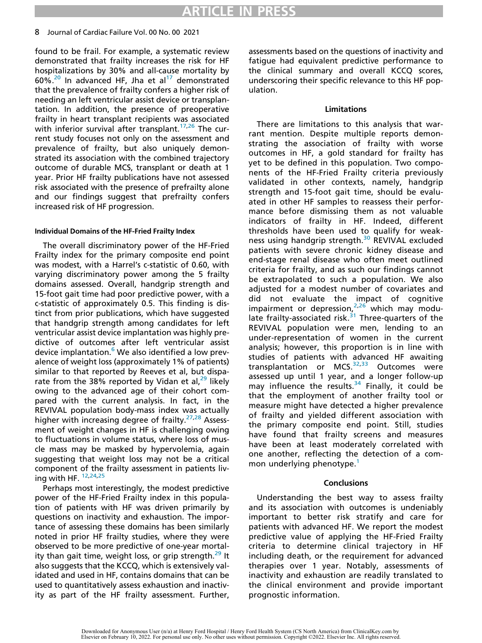#### 8 Journal of Cardiac Failure Vol. 00 No. 00 2021

found to be frail. For example, a systematic review demonstrated that frailty increases the risk for HF hospitalizations by 30% and all-cause mortality by  $60\%$ .<sup>[20](#page-10-19)</sup> In advanced HF, Jha et al<sup>[17](#page-10-16)</sup> demonstrated that the prevalence of frailty confers a higher risk of needing an left ventricular assist device or transplantation. In addition, the presence of preoperative frailty in heart transplant recipients was associated with inferior survival after transplant.<sup>[17,](#page-10-16)[26](#page-11-5)</sup> The current study focuses not only on the assessment and prevalence of frailty, but also uniquely demonstrated its association with the combined trajectory outcome of durable MCS, transplant or death at 1 year. Prior HF frailty publications have not assessed risk associated with the presence of prefrailty alone and our findings suggest that prefrailty confers increased risk of HF progression.

#### Individual Domains of the HF-Fried Frailty Index

The overall discriminatory power of the HF-Fried Frailty index for the primary composite end point was modest, with a Harrel's c-statistic of 0.60, with varying discriminatory power among the 5 frailty domains assessed. Overall, handgrip strength and 15-foot gait time had poor predictive power, with a c-statistic of approximately 0.5. This finding is distinct from prior publications, which have suggested that handgrip strength among candidates for left ventricular assist device implantation was highly predictive of outcomes after left ventricular assist device implantation.<sup>[6](#page-10-5)</sup> We also identified a low prevalence of weight loss (approximately 1% of patients) similar to that reported by Reeves et al, but disparate from the 38% reported by Vidan et al, $^{29}$  $^{29}$  $^{29}$  likely owing to the advanced age of their cohort compared with the current analysis. In fact, in the REVIVAL population body-mass index was actually higher with increasing degree of frailty.<sup>[27,](#page-11-7)[28](#page-11-8)</sup> Assessment of weight changes in HF is challenging owing to fluctuations in volume status, where loss of muscle mass may be masked by hypervolemia, again suggesting that weight loss may not be a critical component of the frailty assessment in patients living with HF. [12,](#page-10-11)[24](#page-11-3)[,25](#page-11-4)

Perhaps most interestingly, the modest predictive power of the HF-Fried Frailty index in this population of patients with HF was driven primarily by questions on inactivity and exhaustion. The importance of assessing these domains has been similarly noted in prior HF frailty studies, where they were observed to be more predictive of one-year mortal-ity than gait time, weight loss, or grip strength.<sup>[29](#page-11-6)</sup> It also suggests that the KCCQ, which is extensively validated and used in HF, contains domains that can be used to quantitatively assess exhaustion and inactivity as part of the HF frailty assessment. Further,

assessments based on the questions of inactivity and fatigue had equivalent predictive performance to the clinical summary and overall KCCQ scores, underscoring their specific relevance to this HF population.

#### Limitations

There are limitations to this analysis that warrant mention. Despite multiple reports demonstrating the association of frailty with worse outcomes in HF, a gold standard for frailty has yet to be defined in this population. Two components of the HF-Fried Frailty criteria previously validated in other contexts, namely, handgrip strength and 15-foot gait time, should be evaluated in other HF samples to reassess their performance before dismissing them as not valuable indicators of frailty in HF. Indeed, different thresholds have been used to qualify for weak-ness using handgrip strength.<sup>[30](#page-11-9)</sup> REVIVAL excluded patients with severe chronic kidney disease and end-stage renal disease who often meet outlined criteria for frailty, and as such our findings cannot be extrapolated to such a population. We also adjusted for a modest number of covariates and did not evaluate the impact of cognitive impairment or depression, $2.26$  $2.26$  which may modulate frailty-associated risk. $31$  Three-quarters of the REVIVAL population were men, lending to an under-representation of women in the current analysis; however, this proportion is in line with studies of patients with advanced HF awaiting transplantation or MCS.<sup>[32](#page-11-11)[,33](#page-11-12)</sup> Outcomes were assessed up until 1 year, and a longer follow-up may influence the results. $34$  Finally, it could be that the employment of another frailty tool or measure might have detected a higher prevalence of frailty and yielded different association with the primary composite end point. Still, studies have found that frailty screens and measures have been at least moderately correlated with one another, reflecting the detection of a com-mon underlying phenotype.<sup>[1](#page-10-0)</sup>

## **Conclusions**

Understanding the best way to assess frailty and its association with outcomes is undeniably important to better risk stratify and care for patients with advanced HF. We report the modest predictive value of applying the HF-Fried Frailty criteria to determine clinical trajectory in HF including death, or the requirement for advanced therapies over 1 year. Notably, assessments of inactivity and exhaustion are readily translated to the clinical environment and provide important prognostic information.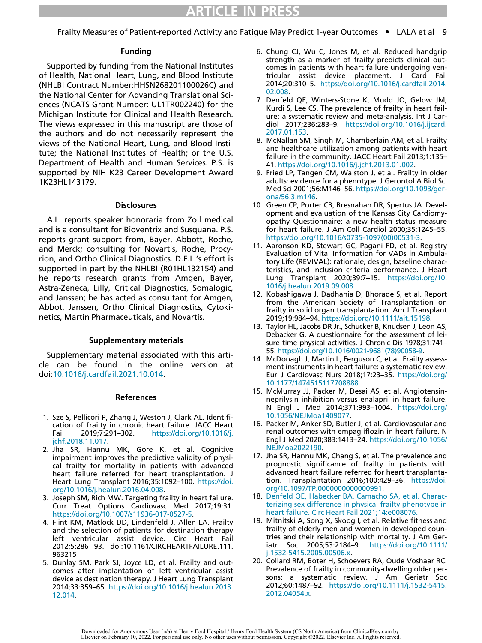Frailty Measures of Patient-reported Activity and Fatigue May Predict 1-year Outcomes • LALA et al 9

#### Funding

<span id="page-10-7"></span><span id="page-10-6"></span><span id="page-10-5"></span>Supported by funding from the National Institutes of Health, National Heart, Lung, and Blood Institute (NHLBI Contract Number:HHSN268201100026C) and the National Center for Advancing Translational Sciences (NCATS Grant Number: UL1TR002240) for the Michigan Institute for Clinical and Health Research. The views expressed in this manuscript are those of the authors and do not necessarily represent the views of the National Heart, Lung, and Blood Institute; the National Institutes of Health; or the U.S. Department of Health and Human Services. P.S. is supported by NIH K23 Career Development Award 1K23HL143179.

#### **Disclosures**

<span id="page-10-10"></span><span id="page-10-9"></span><span id="page-10-8"></span>A.L. reports speaker honoraria from Zoll medical and is a consultant for Bioventrix and Susquana. P.S. reports grant support from, Bayer, Abbott, Roche, and Merck; consulting for Novartis, Roche, Procyrion, and Ortho Clinical Diagnostics. D.E.L.'s effort is supported in part by the NHLBI (R01HL132154) and he reports research grants from Amgen, Bayer, Astra-Zeneca, Lilly, Critical Diagnostics, Somalogic, and Janssen; he has acted as consultant for Amgen, Abbot, Janssen, Ortho Clinical Diagnostics, Cytokinetics, Martin Pharmaceuticals, and Novartis.

#### Supplementary materials

<span id="page-10-13"></span><span id="page-10-12"></span><span id="page-10-11"></span>Supplementary material associated with this article can be found in the online version at doi[:10.1016/j.cardfail.2021.10.014](https://doi.org/10.1016/j.cardfail.2021.10.014).

#### References

- <span id="page-10-15"></span><span id="page-10-14"></span><span id="page-10-0"></span>1. Sze S, Pellicori P, Zhang J, Weston J, Clark AL. Identification of frailty in chronic heart failure. JACC Heart<br>Fail 2019:7:291–302. https://doi.org/10.1016/j. Fail 2019;7:291–302. https://doi.org/[10.1016/j.](https://doi.org/10.1016/j.jchf.2018.11.017) [jchf.2018.11.017.](https://doi.org/10.1016/j.jchf.2018.11.017)
- <span id="page-10-16"></span><span id="page-10-1"></span>2. Jha SR, Hannu MK, Gore K, et al. Cognitive impairment improves the predictive validity of physical frailty for mortality in patients with advanced heart failure referred for heart transplantation. J Heart Lung Transplant 2016;35:1092–100. https://doi. org[/10.1016/j.healun.2016.04.008](https://doi.org/10.1016/j.healun.2016.04.008).
- <span id="page-10-17"></span><span id="page-10-2"></span>3. Joseph SM, Rich MW. Targeting frailty in heart failure. Curr Treat Options Cardiovasc Med 2017;19:31. https://doi.org[/10.1007/s11936-017-0527-5.](https://doi.org/10.1007/s11936-017-0527-5)
- <span id="page-10-18"></span><span id="page-10-3"></span>4. Flint KM, Matlock DD, Lindenfeld J, Allen LA. Frailty and the selection of patients for destination therapy left ventricular assist device. Circ Heart Fail 2012;5:286-93. doi:10.1161/CIRCHEARTFAILURE.111. 963215
- <span id="page-10-19"></span><span id="page-10-4"></span>5. Dunlay SM, Park SJ, Joyce LD, et al. Frailty and outcomes after implantation of left ventricular assist device as destination therapy. J Heart Lung Transplant 2014;33:359–65. https://doi.org/[10.1016/j.healun.2013.](https://doi.org/10.1016/j.healun.2013.12.014) [12.014.](https://doi.org/10.1016/j.healun.2013.12.014)
- 6. Chung CJ, Wu C, Jones M, et al. Reduced handgrip strength as a marker of frailty predicts clinical outcomes in patients with heart failure undergoing ventricular assist device placement. J Card Fail 2014;20:310–5. https://doi.org/[10.1016/j.cardfail.2014.](https://doi.org/10.1016/j.cardfail.2014.02.008) [02.008](https://doi.org/10.1016/j.cardfail.2014.02.008).
- 7. Denfeld QE, Winters-Stone K, Mudd JO, Gelow JM, Kurdi S, Lee CS. The prevalence of frailty in heart failure: a systematic review and meta-analysis. Int J Cardiol 2017;236:283–9. https://doi.org[/10.1016/j.ijcard.](https://doi.org/10.1016/j.ijcard.2017.01.153) [2017.01.153.](https://doi.org/10.1016/j.ijcard.2017.01.153)
- 8. McNallan SM, Singh M, Chamberlain AM, et al. Frailty and healthcare utilization among patients with heart failure in the community. JACC Heart Fail 2013;1:135– 41. https://doi.org[/10.1016/j.jchf.2013.01.002.](https://doi.org/10.1016/j.jchf.2013.01.002)
- 9. Fried LP, Tangen CM, Walston J, et al. Frailty in older adults: evidence for a phenotype. J Gerontol A Biol Sci Med Sci 2001;56:M146–56. https://doi.org/[10.1093/ger](https://doi.org/10.1093/gerona/56.3.m146)[ona/56.3.m146.](https://doi.org/10.1093/gerona/56.3.m146)
- 10. Green CP, Porter CB, Bresnahan DR, Spertus JA. Development and evaluation of the Kansas City Cardiomyopathy Questionnaire: a new health status measure for heart failure. J Am Coll Cardiol 2000;35:1245–55. https://doi.org/[10.1016/s0735-1097\(00\)00531-3.](https://doi.org/10.1016/s0735-1097(00)00531-3)
- 11. Aaronson KD, Stewart GC, Pagani FD, et al. Registry Evaluation of Vital Information for VADs in Ambulatory Life (REVIVAL): rationale, design, baseline characteristics, and inclusion criteria performance. J Heart Lung Transplant 2020;39:7–15. https://doi.org/[10.](https://doi.org/10.1016/j.healun.2019.09.008) [1016/j.healun.2019.09.008.](https://doi.org/10.1016/j.healun.2019.09.008)
- 12. Kobashigawa J, Dadhania D, Bhorade S, et al. Report from the American Society of Transplantation on frailty in solid organ transplantation. Am J Transplant 2019;19:984–94. https://doi.org[/10.1111/ajt.15198.](https://doi.org/10.1111/ajt.15198)
- 13. Taylor HL, Jacobs DR Jr., Schucker B, Knudsen J, Leon AS, Debacker G. A questionnaire for the assessment of leisure time physical activities. J Chronic Dis 1978;31:741– 55. https://doi.org[/10.1016/0021-9681\(78\)90058-9](https://doi.org/10.1016/0021-9681(78)90058-9).
- 14. McDonagh J, Martin L, Ferguson C, et al. Frailty assessment instruments in heart failure: a systematic review. Eur J Cardiovasc Nurs 2018;17:23–35. https://doi.org/ [10.1177/1474515117708888.](https://doi.org/10.1177/1474515117708888)
- 15. McMurray JJ, Packer M, Desai AS, et al. Angiotensinneprilysin inhibition versus enalapril in heart failure. N Engl J Med 2014;371:993–1004. https://doi.org/ [10.1056/NEJMoa1409077.](https://doi.org/10.1056/NEJMoa1409077)
- 16. Packer M, Anker SD, Butler J, et al. Cardiovascular and renal outcomes with empagliflozin in heart failure. N Engl J Med 2020;383:1413–24. https://doi.org[/10.1056/](https://doi.org/10.1056/NEJMoa2022190) [NEJMoa2022190](https://doi.org/10.1056/NEJMoa2022190).
- 17. Jha SR, Hannu MK, Chang S, et al. The prevalence and prognostic significance of frailty in patients with advanced heart failure referred for heart transplantation. Transplantation 2016;100:429–36. https://doi. org/[10.1097/TP.0000000000000991.](https://doi.org/10.1097/TP.0000000000000991)
- 18. [Denfeld QE, Habecker BA, Camacho SA, et al. Charac](http://refhub.elsevier.com/S1071-9164(21)00478-4/sbref0018)[terizing sex difference in physical frailty phenotype in](http://refhub.elsevier.com/S1071-9164(21)00478-4/sbref0018) [heart failure. Circ Heart Fail 2021;14:e008076.](http://refhub.elsevier.com/S1071-9164(21)00478-4/sbref0018)
- 19. Mitnitski A, Song X, Skoog I, et al. Relative fitness and frailty of elderly men and women in developed countries and their relationship with mortality. J Am Geriatr Soc 2005;53:2184–9. https://doi.org[/10.1111/](https://doi.org/10.1111/j.1532-5415.2005.00506.x) [j.1532-5415.2005.00506.x.](https://doi.org/10.1111/j.1532-5415.2005.00506.x)
- 20. Collard RM, Boter H, Schoevers RA, Oude Voshaar RC. Prevalence of frailty in community-dwelling older persons: a systematic review. J Am Geriatr Soc 2012;60:1487–92. https://doi.org/[10.1111/j.1532-5415.](https://doi.org/10.1111/j.1532-5415.2012.04054.x) [2012.04054.x.](https://doi.org/10.1111/j.1532-5415.2012.04054.x)